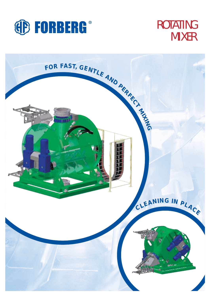